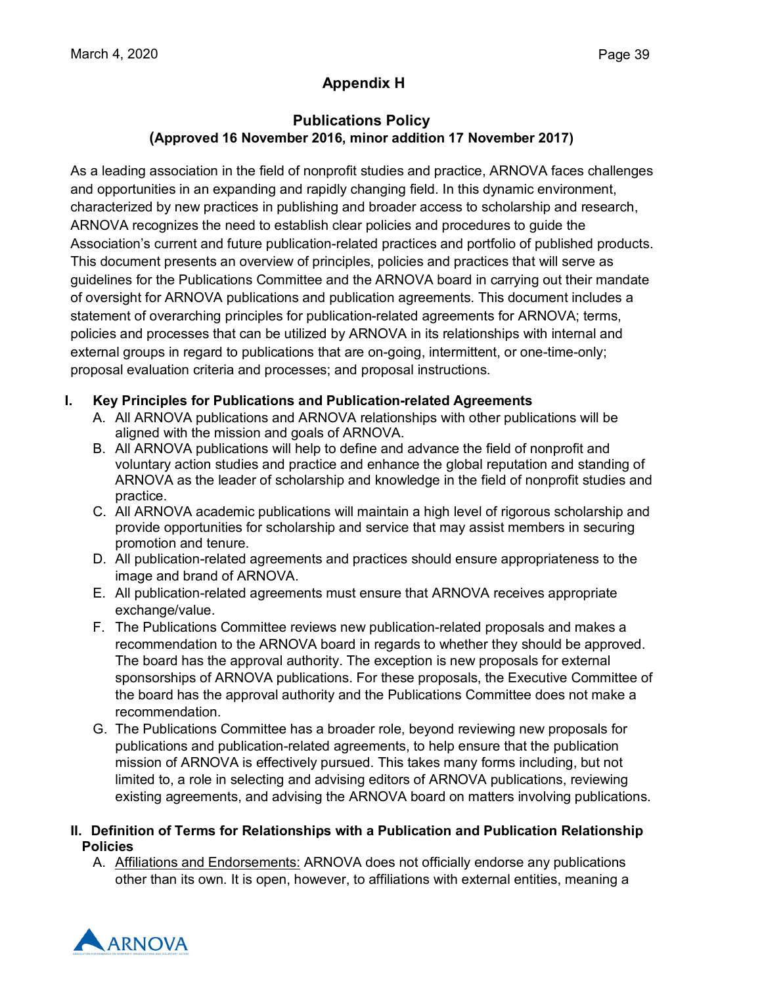# **Appendix H**

### **Publications Policy (Approved 16 November 2016, minor addition 17 November 2017)**

As a leading association in the field of nonprofit studies and practice, ARNOVA faces challenges and opportunities in an expanding and rapidly changing field. In this dynamic environment, characterized by new practices in publishing and broader access to scholarship and research, ARNOVA recognizes the need to establish clear policies and procedures to guide the Association's current and future publication-related practices and portfolio of published products. This document presents an overview of principles, policies and practices that will serve as guidelines for the Publications Committee and the ARNOVA board in carrying out their mandate of oversight for ARNOVA publications and publication agreements. This document includes a statement of overarching principles for publication-related agreements for ARNOVA; terms, policies and processes that can be utilized by ARNOVA in its relationships with internal and external groups in regard to publications that are on-going, intermittent, or one-time-only; proposal evaluation criteria and processes; and proposal instructions.

### **I. Key Principles for Publications and Publication-related Agreements**

- A. All ARNOVA publications and ARNOVA relationships with other publications will be aligned with the mission and goals of ARNOVA.
- B. All ARNOVA publications will help to define and advance the field of nonprofit and voluntary action studies and practice and enhance the global reputation and standing of ARNOVA as the leader of scholarship and knowledge in the field of nonprofit studies and practice.
- C. All ARNOVA academic publications will maintain a high level of rigorous scholarship and provide opportunities for scholarship and service that may assist members in securing promotion and tenure.
- D. All publication-related agreements and practices should ensure appropriateness to the image and brand of ARNOVA.
- E. All publication-related agreements must ensure that ARNOVA receives appropriate exchange/value.
- F. The Publications Committee reviews new publication-related proposals and makes a recommendation to the ARNOVA board in regards to whether they should be approved. The board has the approval authority. The exception is new proposals for external sponsorships of ARNOVA publications. For these proposals, the Executive Committee of the board has the approval authority and the Publications Committee does not make a recommendation.
- G. The Publications Committee has a broader role, beyond reviewing new proposals for publications and publication-related agreements, to help ensure that the publication mission of ARNOVA is effectively pursued. This takes many forms including, but not limited to, a role in selecting and advising editors of ARNOVA publications, reviewing existing agreements, and advising the ARNOVA board on matters involving publications.

#### **II. Definition of Terms for Relationships with a Publication and Publication Relationship Policies**

A. Affiliations and Endorsements: ARNOVA does not officially endorse any publications other than its own. It is open, however, to affiliations with external entities, meaning a

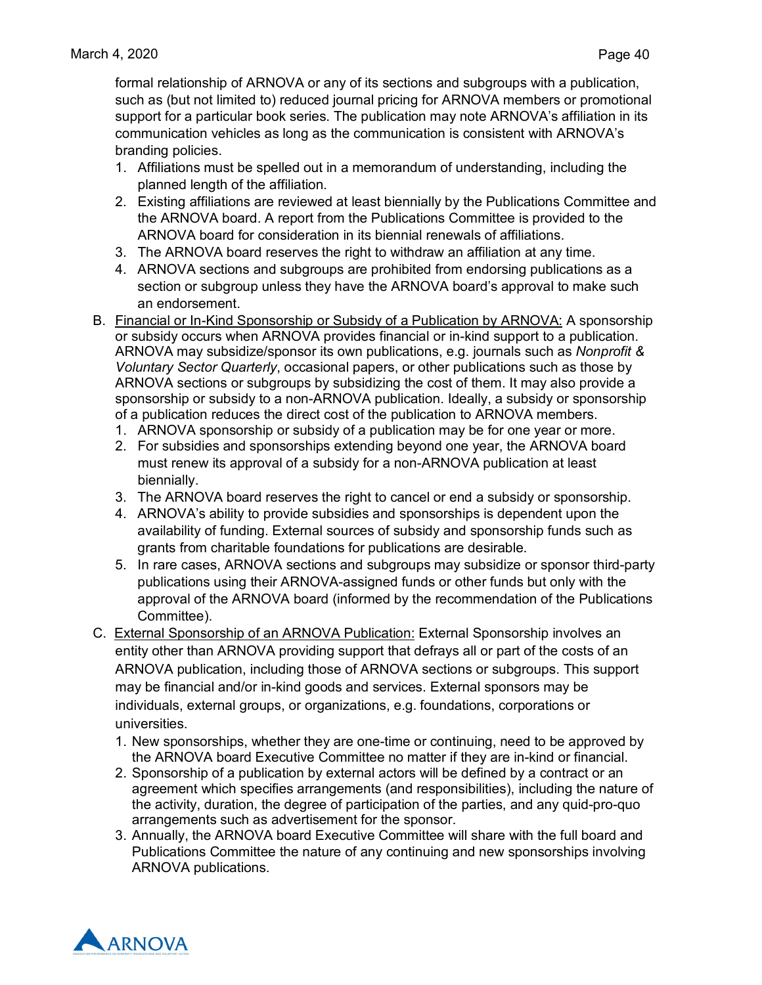formal relationship of ARNOVA or any of its sections and subgroups with a publication, such as (but not limited to) reduced journal pricing for ARNOVA members or promotional support for a particular book series. The publication may note ARNOVA's affiliation in its communication vehicles as long as the communication is consistent with ARNOVA's branding policies.

- 1. Affiliations must be spelled out in a memorandum of understanding, including the planned length of the affiliation.
- 2. Existing affiliations are reviewed at least biennially by the Publications Committee and the ARNOVA board. A report from the Publications Committee is provided to the ARNOVA board for consideration in its biennial renewals of affiliations.
- 3. The ARNOVA board reserves the right to withdraw an affiliation at any time.
- 4. ARNOVA sections and subgroups are prohibited from endorsing publications as a section or subgroup unless they have the ARNOVA board's approval to make such an endorsement.
- B. Financial or In-Kind Sponsorship or Subsidy of a Publication by ARNOVA: A sponsorship or subsidy occurs when ARNOVA provides financial or in-kind support to a publication. ARNOVA may subsidize/sponsor its own publications, e.g. journals such as *Nonprofit & Voluntary Sector Quarterly*, occasional papers, or other publications such as those by ARNOVA sections or subgroups by subsidizing the cost of them. It may also provide a sponsorship or subsidy to a non-ARNOVA publication. Ideally, a subsidy or sponsorship of a publication reduces the direct cost of the publication to ARNOVA members.
	- 1. ARNOVA sponsorship or subsidy of a publication may be for one year or more.
	- 2. For subsidies and sponsorships extending beyond one year, the ARNOVA board must renew its approval of a subsidy for a non-ARNOVA publication at least biennially.
	- 3. The ARNOVA board reserves the right to cancel or end a subsidy or sponsorship.
	- 4. ARNOVA's ability to provide subsidies and sponsorships is dependent upon the availability of funding. External sources of subsidy and sponsorship funds such as grants from charitable foundations for publications are desirable.
	- 5. In rare cases, ARNOVA sections and subgroups may subsidize or sponsor third-party publications using their ARNOVA-assigned funds or other funds but only with the approval of the ARNOVA board (informed by the recommendation of the Publications Committee).
- C. External Sponsorship of an ARNOVA Publication: External Sponsorship involves an entity other than ARNOVA providing support that defrays all or part of the costs of an ARNOVA publication, including those of ARNOVA sections or subgroups. This support may be financial and/or in-kind goods and services. External sponsors may be individuals, external groups, or organizations, e.g. foundations, corporations or universities.
	- 1. New sponsorships, whether they are one-time or continuing, need to be approved by the ARNOVA board Executive Committee no matter if they are in-kind or financial.
	- 2. Sponsorship of a publication by external actors will be defined by a contract or an agreement which specifies arrangements (and responsibilities), including the nature of the activity, duration, the degree of participation of the parties, and any quid-pro-quo arrangements such as advertisement for the sponsor.
	- 3. Annually, the ARNOVA board Executive Committee will share with the full board and Publications Committee the nature of any continuing and new sponsorships involving ARNOVA publications.

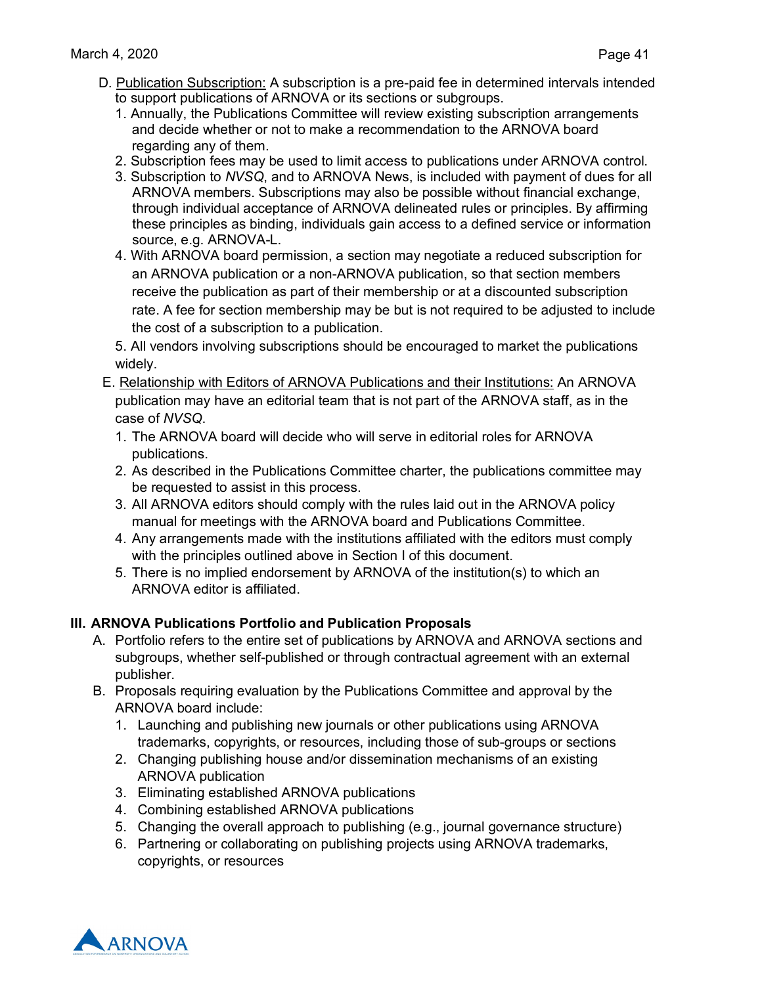- D. Publication Subscription: A subscription is a pre-paid fee in determined intervals intended to support publications of ARNOVA or its sections or subgroups.
	- 1. Annually, the Publications Committee will review existing subscription arrangements and decide whether or not to make a recommendation to the ARNOVA board regarding any of them.
	- 2. Subscription fees may be used to limit access to publications under ARNOVA control.
	- 3. Subscription to *NVSQ*, and to ARNOVA News, is included with payment of dues for all ARNOVA members. Subscriptions may also be possible without financial exchange, through individual acceptance of ARNOVA delineated rules or principles. By affirming these principles as binding, individuals gain access to a defined service or information source, e.g. ARNOVA-L.
	- 4. With ARNOVA board permission, a section may negotiate a reduced subscription for an ARNOVA publication or a non-ARNOVA publication, so that section members receive the publication as part of their membership or at a discounted subscription rate. A fee for section membership may be but is not required to be adjusted to include the cost of a subscription to a publication.

5. All vendors involving subscriptions should be encouraged to market the publications widely.

- E. Relationship with Editors of ARNOVA Publications and their Institutions: An ARNOVA publication may have an editorial team that is not part of the ARNOVA staff, as in the case of *NVSQ*.
	- 1. The ARNOVA board will decide who will serve in editorial roles for ARNOVA publications.
	- 2. As described in the Publications Committee charter, the publications committee may be requested to assist in this process.
	- 3. All ARNOVA editors should comply with the rules laid out in the ARNOVA policy manual for meetings with the ARNOVA board and Publications Committee.
	- 4. Any arrangements made with the institutions affiliated with the editors must comply with the principles outlined above in Section I of this document.
	- 5. There is no implied endorsement by ARNOVA of the institution(s) to which an ARNOVA editor is affiliated.

## **III. ARNOVA Publications Portfolio and Publication Proposals**

- A. Portfolio refers to the entire set of publications by ARNOVA and ARNOVA sections and subgroups, whether self-published or through contractual agreement with an external publisher.
- B. Proposals requiring evaluation by the Publications Committee and approval by the ARNOVA board include:
	- 1. Launching and publishing new journals or other publications using ARNOVA trademarks, copyrights, or resources, including those of sub-groups or sections
	- 2. Changing publishing house and/or dissemination mechanisms of an existing ARNOVA publication
	- 3. Eliminating established ARNOVA publications
	- 4. Combining established ARNOVA publications
	- 5. Changing the overall approach to publishing (e.g., journal governance structure)
	- 6. Partnering or collaborating on publishing projects using ARNOVA trademarks, copyrights, or resources

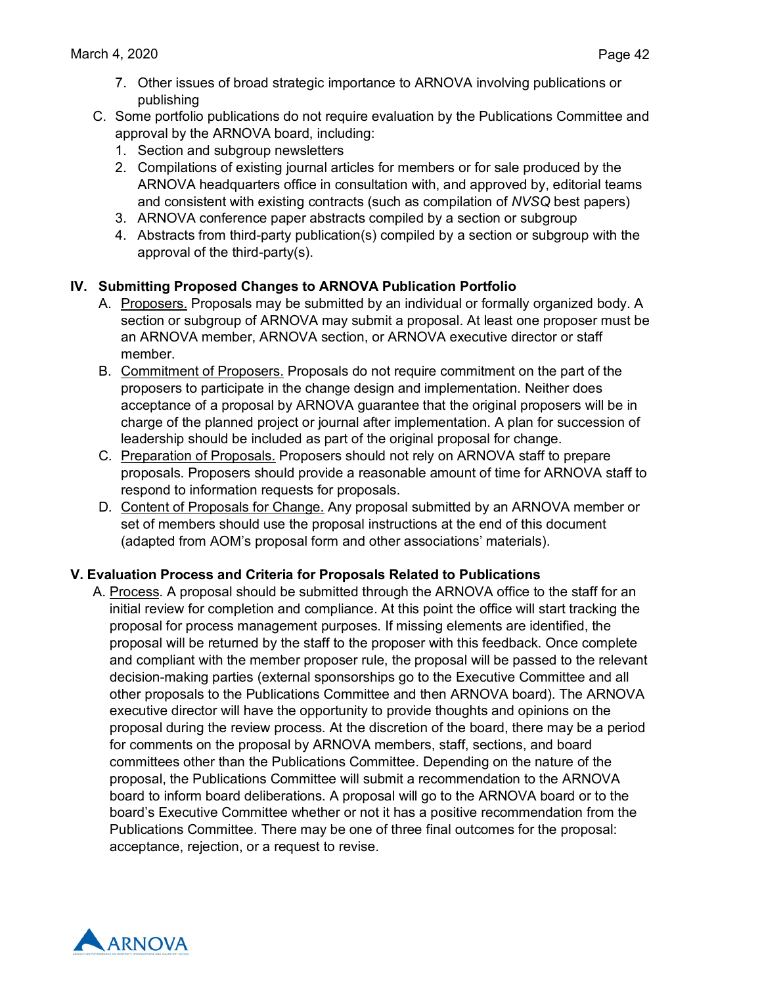- 7. Other issues of broad strategic importance to ARNOVA involving publications or publishing
- C. Some portfolio publications do not require evaluation by the Publications Committee and approval by the ARNOVA board, including:
	- 1. Section and subgroup newsletters
	- 2. Compilations of existing journal articles for members or for sale produced by the ARNOVA headquarters office in consultation with, and approved by, editorial teams and consistent with existing contracts (such as compilation of *NVSQ* best papers)
	- 3. ARNOVA conference paper abstracts compiled by a section or subgroup
	- 4. Abstracts from third-party publication(s) compiled by a section or subgroup with the approval of the third-party(s).

## **IV. Submitting Proposed Changes to ARNOVA Publication Portfolio**

- A. Proposers. Proposals may be submitted by an individual or formally organized body. A section or subgroup of ARNOVA may submit a proposal. At least one proposer must be an ARNOVA member, ARNOVA section, or ARNOVA executive director or staff member.
- B. Commitment of Proposers. Proposals do not require commitment on the part of the proposers to participate in the change design and implementation. Neither does acceptance of a proposal by ARNOVA guarantee that the original proposers will be in charge of the planned project or journal after implementation. A plan for succession of leadership should be included as part of the original proposal for change.
- C. Preparation of Proposals. Proposers should not rely on ARNOVA staff to prepare proposals. Proposers should provide a reasonable amount of time for ARNOVA staff to respond to information requests for proposals.
- D. Content of Proposals for Change. Any proposal submitted by an ARNOVA member or set of members should use the proposal instructions at the end of this document (adapted from AOM's proposal form and other associations' materials).

### **V. Evaluation Process and Criteria for Proposals Related to Publications**

A. Process. A proposal should be submitted through the ARNOVA office to the staff for an initial review for completion and compliance. At this point the office will start tracking the proposal for process management purposes. If missing elements are identified, the proposal will be returned by the staff to the proposer with this feedback. Once complete and compliant with the member proposer rule, the proposal will be passed to the relevant decision-making parties (external sponsorships go to the Executive Committee and all other proposals to the Publications Committee and then ARNOVA board). The ARNOVA executive director will have the opportunity to provide thoughts and opinions on the proposal during the review process. At the discretion of the board, there may be a period for comments on the proposal by ARNOVA members, staff, sections, and board committees other than the Publications Committee. Depending on the nature of the proposal, the Publications Committee will submit a recommendation to the ARNOVA board to inform board deliberations. A proposal will go to the ARNOVA board or to the board's Executive Committee whether or not it has a positive recommendation from the Publications Committee. There may be one of three final outcomes for the proposal: acceptance, rejection, or a request to revise.

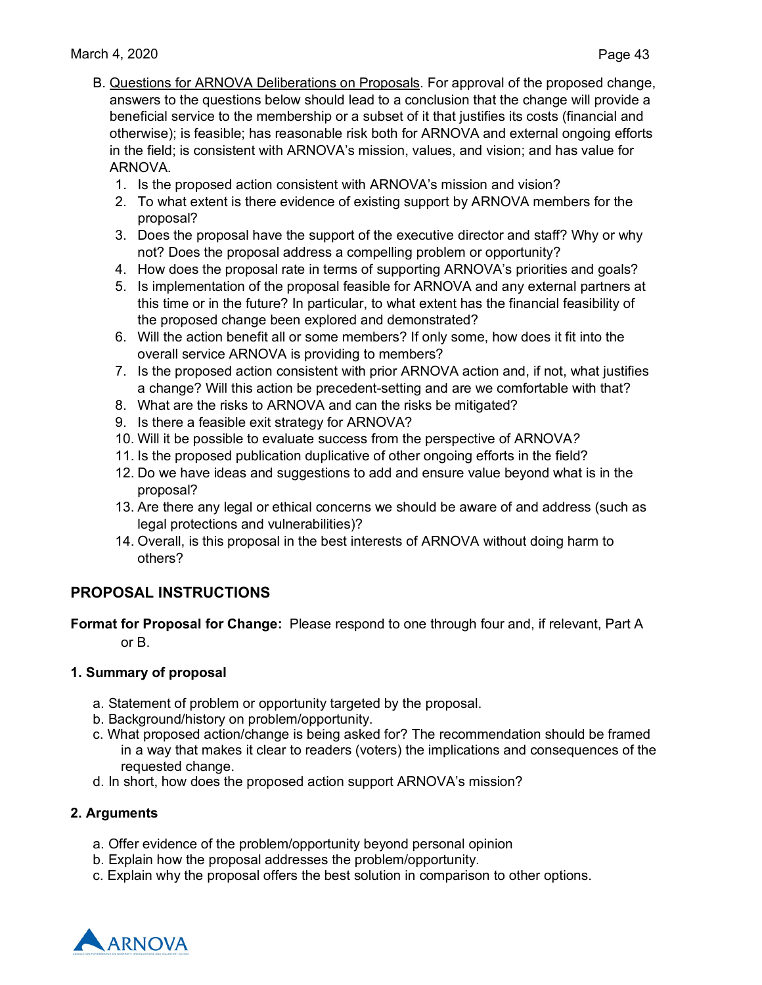- B. Questions for ARNOVA Deliberations on Proposals. For approval of the proposed change, answers to the questions below should lead to a conclusion that the change will provide a beneficial service to the membership or a subset of it that justifies its costs (financial and otherwise); is feasible; has reasonable risk both for ARNOVA and external ongoing efforts in the field; is consistent with ARNOVA's mission, values, and vision; and has value for ARNOVA.
	- 1. Is the proposed action consistent with ARNOVA's mission and vision?
	- 2. To what extent is there evidence of existing support by ARNOVA members for the proposal?
	- 3. Does the proposal have the support of the executive director and staff? Why or why not? Does the proposal address a compelling problem or opportunity?
	- 4. How does the proposal rate in terms of supporting ARNOVA's priorities and goals?
	- 5. Is implementation of the proposal feasible for ARNOVA and any external partners at this time or in the future? In particular, to what extent has the financial feasibility of the proposed change been explored and demonstrated?
	- 6. Will the action benefit all or some members? If only some, how does it fit into the overall service ARNOVA is providing to members?
	- 7. Is the proposed action consistent with prior ARNOVA action and, if not, what justifies a change? Will this action be precedent-setting and are we comfortable with that?
	- 8. What are the risks to ARNOVA and can the risks be mitigated?
	- 9. Is there a feasible exit strategy for ARNOVA?
	- 10. Will it be possible to evaluate success from the perspective of ARNOVA*?*
	- 11. Is the proposed publication duplicative of other ongoing efforts in the field?
	- 12. Do we have ideas and suggestions to add and ensure value beyond what is in the proposal?
	- 13. Are there any legal or ethical concerns we should be aware of and address (such as legal protections and vulnerabilities)?
	- 14. Overall, is this proposal in the best interests of ARNOVA without doing harm to others?

## **PROPOSAL INSTRUCTIONS**

**Format for Proposal for Change:** Please respond to one through four and, if relevant, Part A or B.

#### **1. Summary of proposal**

- a. Statement of problem or opportunity targeted by the proposal.
- b. Background/history on problem/opportunity.
- c. What proposed action/change is being asked for? The recommendation should be framed in a way that makes it clear to readers (voters) the implications and consequences of the requested change.
- d. In short, how does the proposed action support ARNOVA's mission?

### **2. Arguments**

- a. Offer evidence of the problem/opportunity beyond personal opinion
- b. Explain how the proposal addresses the problem/opportunity.
- c. Explain why the proposal offers the best solution in comparison to other options.

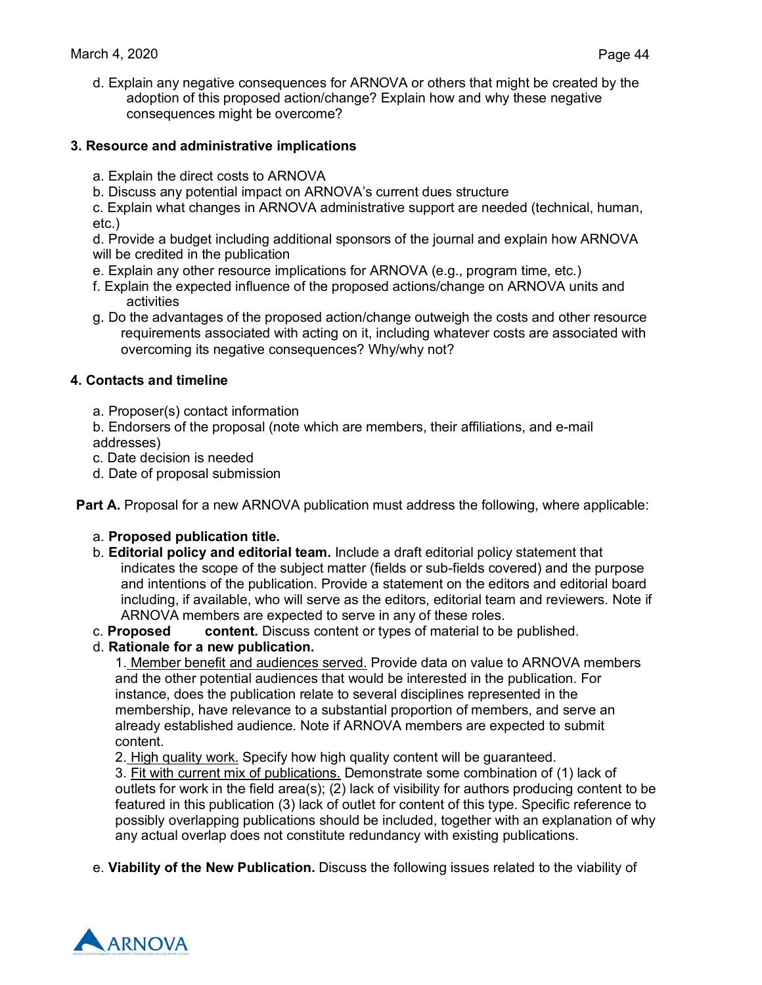d. Explain any negative consequences for ARNOVA or others that might be created by the adoption of this proposed action/change? Explain how and why these negative consequences might be overcome?

#### **3. Resource and administrative implications**

- a. Explain the direct costs to ARNOVA
- b. Discuss any potential impact on ARNOVA's current dues structure

c. Explain what changes in ARNOVA administrative support are needed (technical, human, etc.)

d. Provide a budget including additional sponsors of the journal and explain how ARNOVA will be credited in the publication

- e. Explain any other resource implications for ARNOVA (e.g., program time, etc.)
- f. Explain the expected influence of the proposed actions/change on ARNOVA units and activities
- g. Do the advantages of the proposed action/change outweigh the costs and other resource requirements associated with acting on it, including whatever costs are associated with overcoming its negative consequences? Why/why not?

#### **4. Contacts and timeline**

a. Proposer(s) contact information

b. Endorsers of the proposal (note which are members, their affiliations, and e-mail addresses)

- c. Date decision is needed
- d. Date of proposal submission

**Part A.** Proposal for a new ARNOVA publication must address the following, where applicable:

- a. **Proposed publication title.**
- b. **Editorial policy and editorial team.** Include a draft editorial policy statement that indicates the scope of the subject matter (fields or sub-fields covered) and the purpose and intentions of the publication. Provide a statement on the editors and editorial board including, if available, who will serve as the editors, editorial team and reviewers. Note if ARNOVA members are expected to serve in any of these roles.
- c. **Proposed content.** Discuss content or types of material to be published.
- d. **Rationale for a new publication.**

1. Member benefit and audiences served. Provide data on value to ARNOVA members and the other potential audiences that would be interested in the publication. For instance, does the publication relate to several disciplines represented in the membership, have relevance to a substantial proportion of members, and serve an already established audience. Note if ARNOVA members are expected to submit content.

2. High quality work. Specify how high quality content will be guaranteed.

3. Fit with current mix of publications. Demonstrate some combination of (1) lack of outlets for work in the field area(s); (2) lack of visibility for authors producing content to be featured in this publication (3) lack of outlet for content of this type. Specific reference to possibly overlapping publications should be included, together with an explanation of why any actual overlap does not constitute redundancy with existing publications.

e. **Viability of the New Publication.** Discuss the following issues related to the viability of